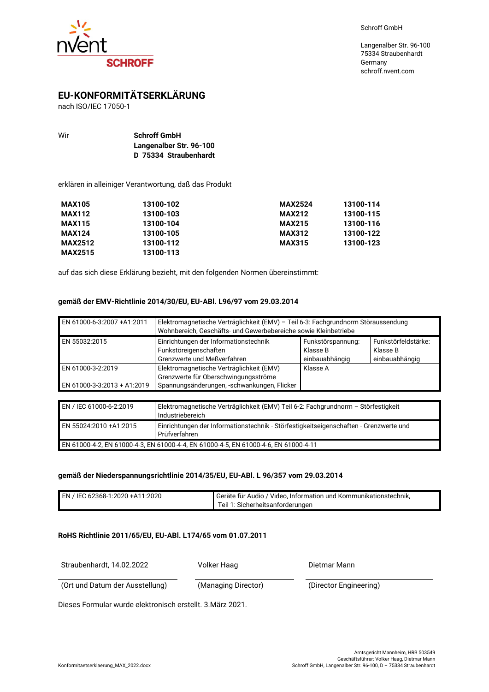

Langenalber Str. 96-100 75334 Straubenhardt Germany schroff.nvent.com

# **EU-KONFORMITÄTSERKLÄRUNG**

nach ISO/IEC 17050-1

| Wir | <b>Schroff GmbH</b>     |
|-----|-------------------------|
|     | Langenalber Str. 96-100 |
|     | D 75334 Straubenhardt   |

erklären in alleiniger Verantwortung, daß das Produkt

| <b>MAX105</b>  | 13100-102 | <b>MAX2524</b> | 13100-114 |
|----------------|-----------|----------------|-----------|
| <b>MAX112</b>  | 13100-103 | <b>MAX212</b>  | 13100-115 |
| <b>MAX115</b>  | 13100-104 | <b>MAX215</b>  | 13100-116 |
| <b>MAX124</b>  | 13100-105 | <b>MAX312</b>  | 13100-122 |
| <b>MAX2512</b> | 13100-112 | <b>MAX315</b>  | 13100-123 |
| <b>MAX2515</b> | 13100-113 |                |           |

auf das sich diese Erklärung bezieht, mit den folgenden Normen übereinstimmt:

## **gemäß der EMV-Richtlinie 2014/30/EU, EU-ABl. L96/97 vom 29.03.2014**

| EN 61000-6-3:2007 +A1:2011                       | Elektromagnetische Verträglichkeit (EMV) - Teil 6-3: Fachgrundnorm Störaussendung<br>Wohnbereich, Geschäfts- und Gewerbebereiche sowie Kleinbetriebe |                                                                                                      |  |
|--------------------------------------------------|------------------------------------------------------------------------------------------------------------------------------------------------------|------------------------------------------------------------------------------------------------------|--|
| EN 55032:2015                                    | Einrichtungen der Informationstechnik<br>Funkstöreigenschaften<br>Grenzwerte und Meßverfahren                                                        | Funkstörfeldstärke:<br>Funkstörspannung:<br>Klasse B<br>Klasse B<br>einbauabhängig<br>einbauabhängig |  |
| EN 61000-3-2:2019<br>EN 61000-3-3:2013 + A1:2019 | Elektromagnetische Verträglichkeit (EMV)<br>Grenzwerte für Oberschwingungsströme<br>Spannungsänderungen, -schwankungen, Flicker                      | Klasse A                                                                                             |  |

| EN / IEC 61000-6-2:2019                                                             | Elektromagnetische Verträglichkeit (EMV) Teil 6-2: Fachgrundnorm - Störfestigkeit<br>Industriebereich  |  |
|-------------------------------------------------------------------------------------|--------------------------------------------------------------------------------------------------------|--|
| EN 55024:2010 +A1:2015                                                              | Einrichtungen der Informationstechnik - Störfestigkeitseigenschaften - Grenzwerte und<br>Prüfverfahren |  |
| EN 61000-4-2, EN 61000-4-3, EN 61000-4-4, EN 61000-4-5, EN 61000-4-6, EN 61000-4-11 |                                                                                                        |  |

#### **gemäß der Niederspannungsrichtlinie 2014/35/EU, EU-ABl. L 96/357 vom 29.03.2014**

| EN / IEC 62368-1:2020 +A11:2020 | l Geräte für Audio / Video. Information und Kommunikationstechnik. |
|---------------------------------|--------------------------------------------------------------------|
|                                 | Teil 1: Sicherheitsanforderungen                                   |

## **RoHS Richtlinie 2011/65/EU, EU-ABl. L174/65 vom 01.07.2011**

Straubenhardt, 14.02.2022 Volker Haag Dietmar Mann

(Ort und Datum der Ausstellung) (Managing Director) (Director Engineering)

Dieses Formular wurde elektronisch erstellt. 3.März 2021.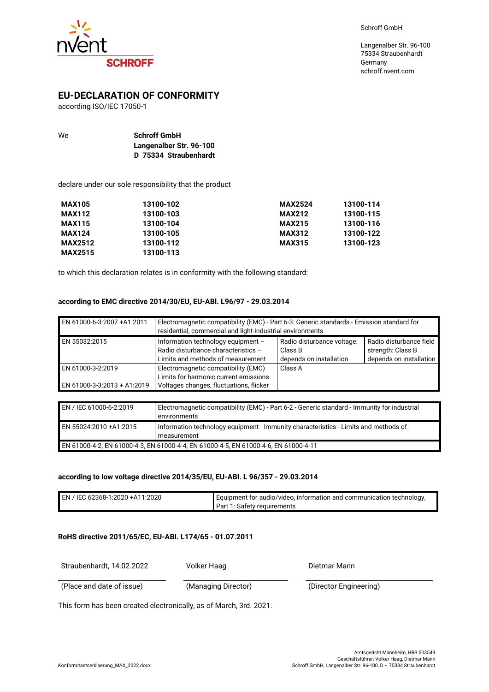

# **SCHROFF**

# **EU-DECLARATION OF CONFORMITY**

according ISO/IEC 17050-1

| We | <b>Schroff GmbH</b>     |
|----|-------------------------|
|    | Langenalber Str. 96-100 |
|    | D 75334 Straubenhardt   |

declare under our sole responsibility that the product

| <b>MAX105</b>  | 13100-102 | <b>MAX2524</b> | 13100-114 |
|----------------|-----------|----------------|-----------|
| <b>MAX112</b>  | 13100-103 | <b>MAX212</b>  | 13100-115 |
| <b>MAX115</b>  | 13100-104 | <b>MAX215</b>  | 13100-116 |
| <b>MAX124</b>  | 13100-105 | <b>MAX312</b>  | 13100-122 |
| <b>MAX2512</b> | 13100-112 | <b>MAX315</b>  | 13100-123 |
| <b>MAX2515</b> | 13100-113 |                |           |

to which this declaration relates is in conformity with the following standard:

## **according to EMC directive 2014/30/EU, EU-ABl. L96/97 - 29.03.2014**

| EN 61000-6-3:2007 +A1:2011                       | Electromagnetic compatibility (EMC) - Part 6-3: Generic standards - Emission standard for<br>residential, commercial and light-industrial environments |                                                                  |                                                                         |
|--------------------------------------------------|--------------------------------------------------------------------------------------------------------------------------------------------------------|------------------------------------------------------------------|-------------------------------------------------------------------------|
| EN 55032:2015                                    | Information technology equipment -<br>Radio disturbance characteristics -<br>Limits and methods of measurement                                         | Radio disturbance voltage:<br>Class B<br>depends on installation | Radio disturbance field<br>strength: Class B<br>depends on installation |
| EN 61000-3-2:2019<br>EN 61000-3-3:2013 + A1:2019 | Electromagnetic compatibility (EMC)<br>Limits for harmonic current emissions<br>Voltages changes, fluctuations, flicker                                | Class A                                                          |                                                                         |

| EN / IEC 61000-6-2:2019                                                             | Electromagnetic compatibility (EMC) - Part 6-2 - Generic standard - Immunity for industrial<br>environments |  |
|-------------------------------------------------------------------------------------|-------------------------------------------------------------------------------------------------------------|--|
| EN 55024:2010 +A1:2015                                                              | Information technology equipment - Immunity characteristics - Limits and methods of<br>measurement          |  |
| EN 61000-4-2, EN 61000-4-3, EN 61000-4-4, EN 61000-4-5, EN 61000-4-6, EN 61000-4-11 |                                                                                                             |  |

#### **according to low voltage directive 2014/35/EU, EU-ABl. L 96/357 - 29.03.2014**

| EN / IEC 62368-1:2020 +A11:2020 | I Equipment for audio/video, information and communication technology, |
|---------------------------------|------------------------------------------------------------------------|
|                                 | Part 1: Safety requirements                                            |

## **RoHS directive 2011/65/EC, EU-ABl. L174/65 - 01.07.2011**

Straubenhardt, 14.02.2022 Volker Haag Dietmar Mann

(Place and date of issue) (Managing Director) (Director Engineering)

This form has been created electronically, as of March, 3rd. 2021.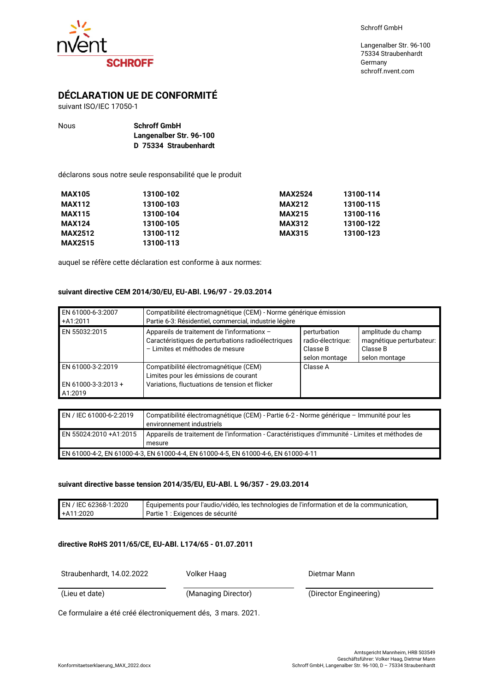



# **DÉCLARATION UE DE CONFORMITÉ**

suivant ISO/IEC 17050-1

| Nous | <b>Schroff GmbH</b>     |
|------|-------------------------|
|      | Langenalber Str. 96-100 |
|      | D 75334 Straubenhardt   |

déclarons sous notre seule responsabilité que le produit

| <b>MAX105</b>  | 13100-102 | <b>MAX2524</b> | 13100-114 |
|----------------|-----------|----------------|-----------|
| <b>MAX112</b>  | 13100-103 | <b>MAX212</b>  | 13100-115 |
| <b>MAX115</b>  | 13100-104 | <b>MAX215</b>  | 13100-116 |
| <b>MAX124</b>  | 13100-105 | <b>MAX312</b>  | 13100-122 |
| <b>MAX2512</b> | 13100-112 | <b>MAX315</b>  | 13100-123 |
| <b>MAX2515</b> | 13100-113 |                |           |

auquel se réfère cette déclaration est conforme à aux normes:

## **suivant directive CEM 2014/30/EU, EU-ABl. L96/97 - 29.03.2014**

| EN 61000-6-3:2007<br>+A1:2011                       | Compatibilité électromagnétique (CEM) - Norme générique émission<br>Partie 6-3: Résidentiel, commercial, industrie légère            |                                                                |                                                                             |
|-----------------------------------------------------|--------------------------------------------------------------------------------------------------------------------------------------|----------------------------------------------------------------|-----------------------------------------------------------------------------|
| EN 55032:2015                                       | Appareils de traitement de l'informationx -<br>Caractéristiques de perturbations radioélectriques<br>- Limites et méthodes de mesure | perturbation<br>radio-électrique:<br>Classe B<br>selon montage | amplitude du champ<br>magnétique perturbateur:<br>Classe B<br>selon montage |
| EN 61000-3-2:2019<br>EN 61000-3-3:2013 +<br>A1:2019 | Compatibilité électromagnétique (CEM)<br>Limites pour les émissions de courant<br>Variations, fluctuations de tension et flicker     | Classe A                                                       |                                                                             |

| EN / IEC 61000-6-2:2019                                                             | Compatibilité électromagnétique (CEM) - Partie 6-2 - Norme générique - Immunité pour les<br>environnement industriels |
|-------------------------------------------------------------------------------------|-----------------------------------------------------------------------------------------------------------------------|
| EN 55024:2010 +A1:2015                                                              | Appareils de traitement de l'information - Caractéristiques d'immunité - Limites et méthodes de                       |
|                                                                                     |                                                                                                                       |
|                                                                                     | mesure                                                                                                                |
| EN 61000-4-2. EN 61000-4-3. EN 61000-4-4. EN 61000-4-5. EN 61000-4-6. EN 61000-4-11 |                                                                                                                       |

#### **suivant directive basse tension 2014/35/EU, EU-ABl. L 96/357 - 29.03.2014**

| EN / IEC 62368-1:2020 | Équipements pour l'audio/vidéo, les technologies de l'information et de la communication, |
|-----------------------|-------------------------------------------------------------------------------------------|
| +A11:2020             | Partie 1 : Exigences de sécurité                                                          |

#### **directive RoHS 2011/65/CE, EU-ABl. L174/65 - 01.07.2011**

Straubenhardt, 14.02.2022 Volker Haag Dietmar Mann

(Lieu et date) (Managing Director) (Director Engineering)

Ce formulaire a été créé électroniquement dés, 3 mars. 2021.